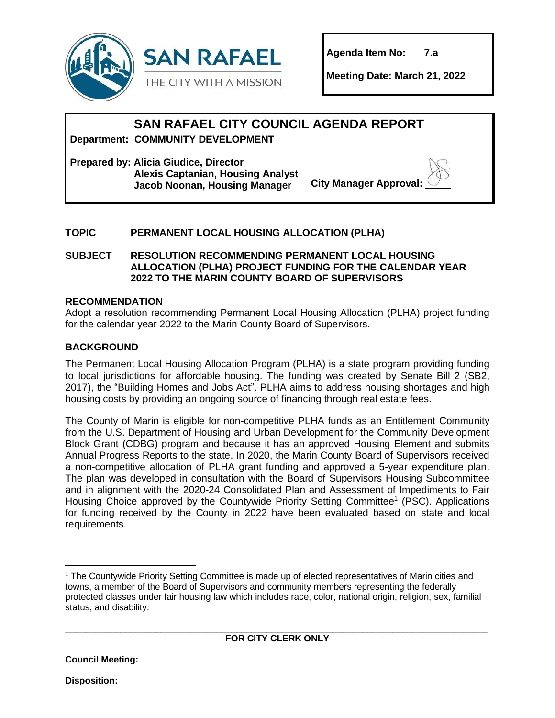

**Agenda Item No: 7.a**

**Meeting Date: March 21, 2022**

# **SAN RAFAEL CITY COUNCIL AGENDA REPORT**

**Department: COMMUNITY DEVELOPMENT**

**Prepared by: Alicia Giudice, Director Alexis Captanian, Housing Analyst Jacob Noonan, Housing Manager City Manager Approval** 

# **TOPIC PERMANENT LOCAL HOUSING ALLOCATION (PLHA)**

**SUBJECT RESOLUTION RECOMMENDING PERMANENT LOCAL HOUSING ALLOCATION (PLHA) PROJECT FUNDING FOR THE CALENDAR YEAR 2022 TO THE MARIN COUNTY BOARD OF SUPERVISORS**

#### **RECOMMENDATION**

Adopt a resolution recommending Permanent Local Housing Allocation (PLHA) project funding for the calendar year 2022 to the Marin County Board of Supervisors.

#### **BACKGROUND**

The Permanent Local Housing Allocation Program (PLHA) is a state program providing funding to local jurisdictions for affordable housing. The funding was created by Senate Bill 2 (SB2, 2017), the "Building Homes and Jobs Act". PLHA aims to address housing shortages and high housing costs by providing an ongoing source of financing through real estate fees.

The County of Marin is eligible for non-competitive PLHA funds as an Entitlement Community from the U.S. Department of Housing and Urban Development for the Community Development Block Grant (CDBG) program and because it has an approved Housing Element and submits Annual Progress Reports to the state. In 2020, the Marin County Board of Supervisors received a non-competitive allocation of PLHA grant funding and approved a 5-year expenditure plan. The plan was developed in consultation with the Board of Supervisors Housing Subcommittee and in alignment with the 2020-24 Consolidated Plan and Assessment of Impediments to Fair Housing Choice approved by the Countywide Priority Setting Committee<sup>1</sup> (PSC). Applications for funding received by the County in 2022 have been evaluated based on state and local requirements.

<sup>&</sup>lt;sup>1</sup> The Countywide Priority Setting Committee is made up of elected representatives of Marin cities and towns, a member of the Board of Supervisors and community members representing the federally protected classes under fair housing law which includes race, color, national origin, religion, sex, familial status, and disability.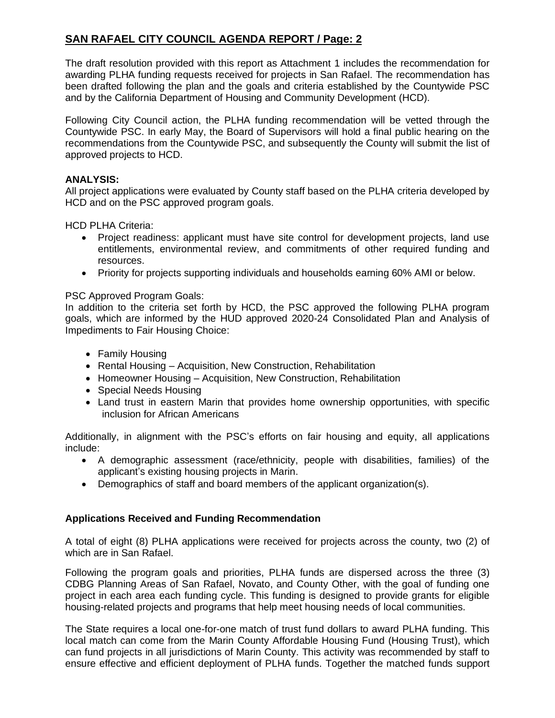# **SAN RAFAEL CITY COUNCIL AGENDA REPORT / Page: 2**

The draft resolution provided with this report as Attachment 1 includes the recommendation for awarding PLHA funding requests received for projects in San Rafael. The recommendation has been drafted following the plan and the goals and criteria established by the Countywide PSC and by the California Department of Housing and Community Development (HCD).

Following City Council action, the PLHA funding recommendation will be vetted through the Countywide PSC. In early May, the Board of Supervisors will hold a final public hearing on the recommendations from the Countywide PSC, and subsequently the County will submit the list of approved projects to HCD.

#### **ANALYSIS:**

All project applications were evaluated by County staff based on the PLHA criteria developed by HCD and on the PSC approved program goals.

HCD PLHA Criteria:

- Project readiness: applicant must have site control for development projects, land use entitlements, environmental review, and commitments of other required funding and resources.
- Priority for projects supporting individuals and households earning 60% AMI or below.

#### PSC Approved Program Goals:

In addition to the criteria set forth by HCD, the PSC approved the following PLHA program goals, which are informed by the HUD approved 2020-24 Consolidated Plan and Analysis of Impediments to Fair Housing Choice:

- Family Housing
- Rental Housing Acquisition, New Construction, Rehabilitation
- Homeowner Housing Acquisition, New Construction, Rehabilitation
- Special Needs Housing
- Land trust in eastern Marin that provides home ownership opportunities, with specific inclusion for African Americans

Additionally, in alignment with the PSC's efforts on fair housing and equity, all applications include:

- A demographic assessment (race/ethnicity, people with disabilities, families) of the applicant's existing housing projects in Marin.
- Demographics of staff and board members of the applicant organization(s).

#### **Applications Received and Funding Recommendation**

A total of eight (8) PLHA applications were received for projects across the county, two (2) of which are in San Rafael.

Following the program goals and priorities, PLHA funds are dispersed across the three (3) CDBG Planning Areas of San Rafael, Novato, and County Other, with the goal of funding one project in each area each funding cycle. This funding is designed to provide grants for eligible housing-related projects and programs that help meet housing needs of local communities.

The State requires a local one-for-one match of trust fund dollars to award PLHA funding. This local match can come from the Marin County Affordable Housing Fund (Housing Trust), which can fund projects in all jurisdictions of Marin County. This activity was recommended by staff to ensure effective and efficient deployment of PLHA funds. Together the matched funds support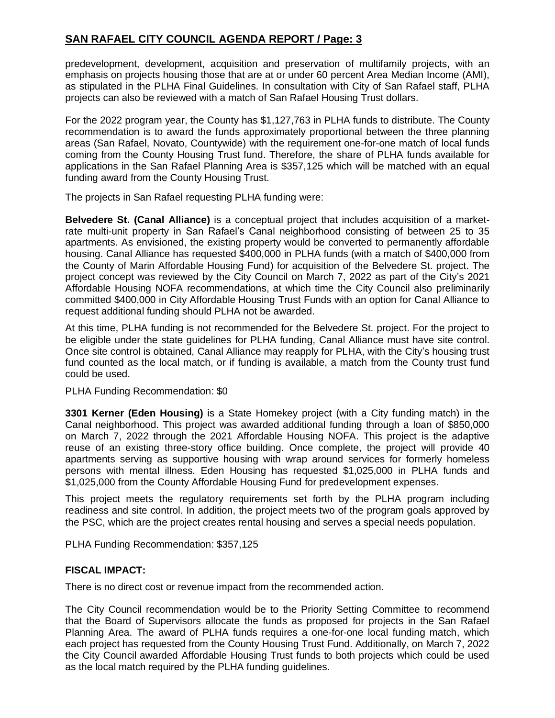# **SAN RAFAEL CITY COUNCIL AGENDA REPORT / Page: 3**

predevelopment, development, acquisition and preservation of multifamily projects, with an emphasis on projects housing those that are at or under 60 percent Area Median Income (AMI), as stipulated in the PLHA Final Guidelines. In consultation with City of San Rafael staff, PLHA projects can also be reviewed with a match of San Rafael Housing Trust dollars.

For the 2022 program year, the County has \$1,127,763 in PLHA funds to distribute. The County recommendation is to award the funds approximately proportional between the three planning areas (San Rafael, Novato, Countywide) with the requirement one-for-one match of local funds coming from the County Housing Trust fund. Therefore, the share of PLHA funds available for applications in the San Rafael Planning Area is \$357,125 which will be matched with an equal funding award from the County Housing Trust.

The projects in San Rafael requesting PLHA funding were:

**Belvedere St. (Canal Alliance)** is a conceptual project that includes acquisition of a marketrate multi-unit property in San Rafael's Canal neighborhood consisting of between 25 to 35 apartments. As envisioned, the existing property would be converted to permanently affordable housing. Canal Alliance has requested \$400,000 in PLHA funds (with a match of \$400,000 from the County of Marin Affordable Housing Fund) for acquisition of the Belvedere St. project. The project concept was reviewed by the City Council on March 7, 2022 as part of the City's 2021 Affordable Housing NOFA recommendations, at which time the City Council also preliminarily committed \$400,000 in City Affordable Housing Trust Funds with an option for Canal Alliance to request additional funding should PLHA not be awarded.

At this time, PLHA funding is not recommended for the Belvedere St. project. For the project to be eligible under the state guidelines for PLHA funding, Canal Alliance must have site control. Once site control is obtained, Canal Alliance may reapply for PLHA, with the City's housing trust fund counted as the local match, or if funding is available, a match from the County trust fund could be used.

PLHA Funding Recommendation: \$0

**3301 Kerner (Eden Housing)** is a State Homekey project (with a City funding match) in the Canal neighborhood. This project was awarded additional funding through a loan of \$850,000 on March 7, 2022 through the 2021 Affordable Housing NOFA. This project is the adaptive reuse of an existing three-story office building. Once complete, the project will provide 40 apartments serving as supportive housing with wrap around services for formerly homeless persons with mental illness. Eden Housing has requested \$1,025,000 in PLHA funds and \$1,025,000 from the County Affordable Housing Fund for predevelopment expenses.

This project meets the regulatory requirements set forth by the PLHA program including readiness and site control. In addition, the project meets two of the program goals approved by the PSC, which are the project creates rental housing and serves a special needs population.

PLHA Funding Recommendation: \$357,125

#### **FISCAL IMPACT:**

There is no direct cost or revenue impact from the recommended action.

The City Council recommendation would be to the Priority Setting Committee to recommend that the Board of Supervisors allocate the funds as proposed for projects in the San Rafael Planning Area. The award of PLHA funds requires a one-for-one local funding match, which each project has requested from the County Housing Trust Fund. Additionally, on March 7, 2022 the City Council awarded Affordable Housing Trust funds to both projects which could be used as the local match required by the PLHA funding guidelines.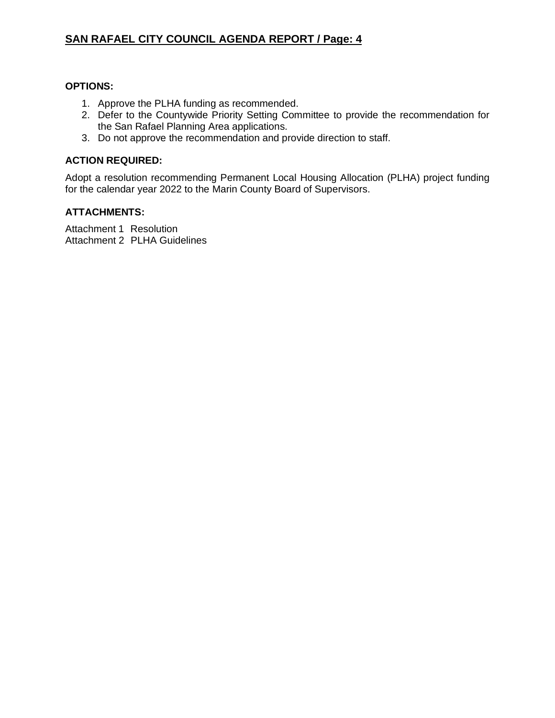# **SAN RAFAEL CITY COUNCIL AGENDA REPORT / Page: 4**

#### **OPTIONS:**

- 1. Approve the PLHA funding as recommended.
- 2. Defer to the Countywide Priority Setting Committee to provide the recommendation for the San Rafael Planning Area applications.
- 3. Do not approve the recommendation and provide direction to staff.

#### **ACTION REQUIRED:**

Adopt a resolution recommending Permanent Local Housing Allocation (PLHA) project funding for the calendar year 2022 to the Marin County Board of Supervisors.

#### **ATTACHMENTS:**

Attachment 1 Resolution Attachment 2 PLHA Guidelines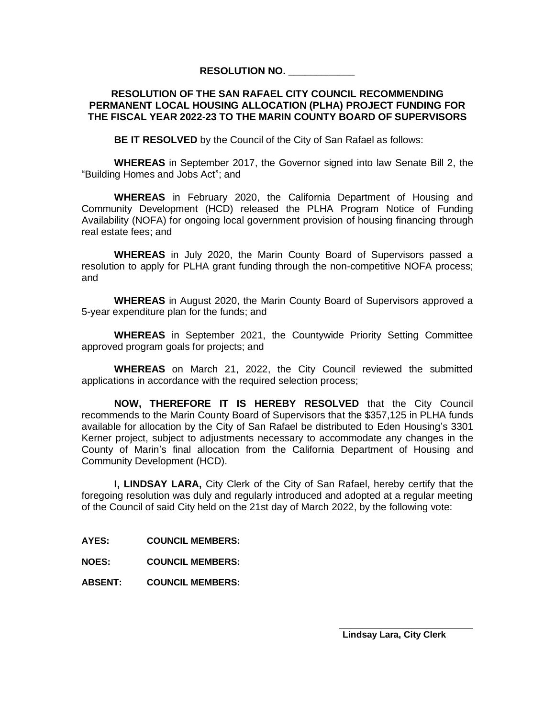#### **RESOLUTION NO. \_\_\_\_\_\_\_\_\_\_\_\_**

#### **RESOLUTION OF THE SAN RAFAEL CITY COUNCIL RECOMMENDING PERMANENT LOCAL HOUSING ALLOCATION (PLHA) PROJECT FUNDING FOR THE FISCAL YEAR 2022-23 TO THE MARIN COUNTY BOARD OF SUPERVISORS**

**BE IT RESOLVED** by the Council of the City of San Rafael as follows:

**WHEREAS** in September 2017, the Governor signed into law Senate Bill 2, the "Building Homes and Jobs Act"; and

**WHEREAS** in February 2020, the California Department of Housing and Community Development (HCD) released the PLHA Program Notice of Funding Availability (NOFA) for ongoing local government provision of housing financing through real estate fees; and

**WHEREAS** in July 2020, the Marin County Board of Supervisors passed a resolution to apply for PLHA grant funding through the non-competitive NOFA process; and

**WHEREAS** in August 2020, the Marin County Board of Supervisors approved a 5-year expenditure plan for the funds; and

**WHEREAS** in September 2021, the Countywide Priority Setting Committee approved program goals for projects; and

**WHEREAS** on March 21, 2022, the City Council reviewed the submitted applications in accordance with the required selection process;

**NOW, THEREFORE IT IS HEREBY RESOLVED** that the City Council recommends to the Marin County Board of Supervisors that the \$357,125 in PLHA funds available for allocation by the City of San Rafael be distributed to Eden Housing's 3301 Kerner project, subject to adjustments necessary to accommodate any changes in the County of Marin's final allocation from the California Department of Housing and Community Development (HCD).

**I, LINDSAY LARA,** City Clerk of the City of San Rafael, hereby certify that the foregoing resolution was duly and regularly introduced and adopted at a regular meeting of the Council of said City held on the 21st day of March 2022, by the following vote:

**AYES: COUNCIL MEMBERS:**

**NOES: COUNCIL MEMBERS:**

**ABSENT: COUNCIL MEMBERS:**

**Lindsay Lara, City Clerk**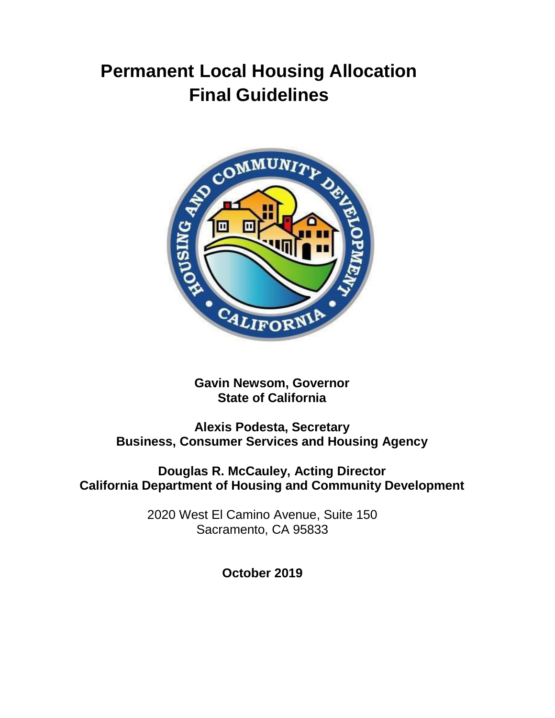# **Permanent Local Housing Allocation Final Guidelines**



**Gavin Newsom, Governor State of California**

**Alexis Podesta, Secretary Business, Consumer Services and Housing Agency**

**Douglas R. McCauley, Acting Director California Department of Housing and Community Development**

> 2020 West El Camino Avenue, Suite 150 Sacramento, CA 95833

> > **October 2019**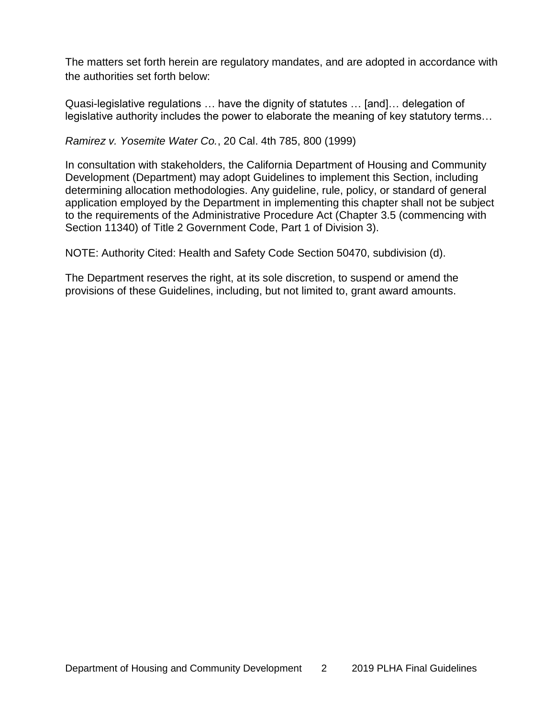The matters set forth herein are regulatory mandates, and are adopted in accordance with the authorities set forth below:

Quasi-legislative regulations … have the dignity of statutes … [and]… delegation of legislative authority includes the power to elaborate the meaning of key statutory terms…

*Ramirez v. Yosemite Water Co.*, 20 Cal. 4th 785, 800 (1999)

In consultation with stakeholders, the California Department of Housing and Community Development (Department) may adopt Guidelines to implement this Section, including determining allocation methodologies. Any guideline, rule, policy, or standard of general application employed by the Department in implementing this chapter shall not be subject to the requirements of the Administrative Procedure Act (Chapter 3.5 (commencing with Section 11340) of Title 2 Government Code, Part 1 of Division 3).

NOTE: Authority Cited: Health and Safety Code Section 50470, subdivision (d).

The Department reserves the right, at its sole discretion, to suspend or amend the provisions of these Guidelines, including, but not limited to, grant award amounts.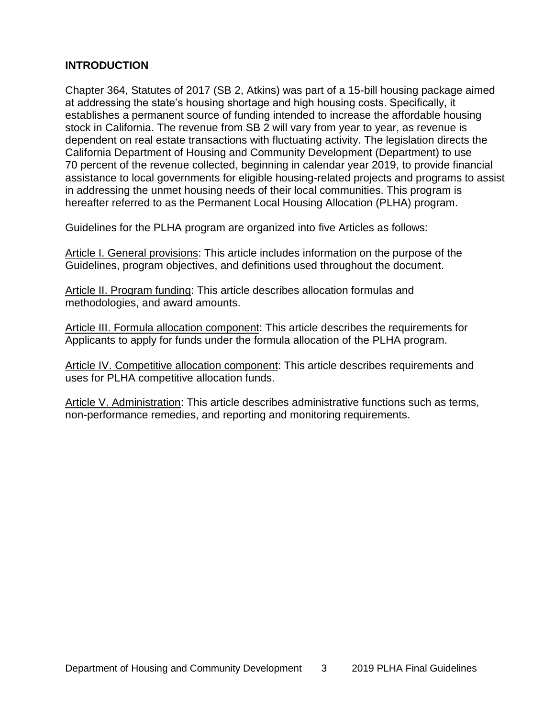# **INTRODUCTION**

Chapter 364, Statutes of 2017 (SB 2, Atkins) was part of a 15-bill housing package aimed at addressing the state's housing shortage and high housing costs. Specifically, it establishes a permanent source of funding intended to increase the affordable housing stock in California. The revenue from SB 2 will vary from year to year, as revenue is dependent on real estate transactions with fluctuating activity. The legislation directs the California Department of Housing and Community Development (Department) to use 70 percent of the revenue collected, beginning in calendar year 2019, to provide financial assistance to local governments for eligible housing-related projects and programs to assist in addressing the unmet housing needs of their local communities. This program is hereafter referred to as the Permanent Local Housing Allocation (PLHA) program.

Guidelines for the PLHA program are organized into five Articles as follows:

Article I. General provisions: This article includes information on the purpose of the Guidelines, program objectives, and definitions used throughout the document.

Article II. Program funding: This article describes allocation formulas and methodologies, and award amounts.

Article III. Formula allocation component: This article describes the requirements for Applicants to apply for funds under the formula allocation of the PLHA program.

Article IV. Competitive allocation component: This article describes requirements and uses for PLHA competitive allocation funds.

Article V. Administration: This article describes administrative functions such as terms, non-performance remedies, and reporting and monitoring requirements.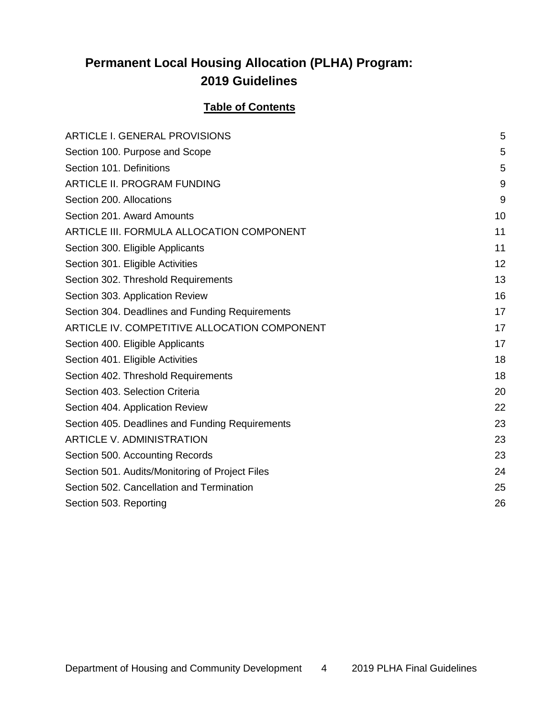# **Permanent Local Housing Allocation (PLHA) Program: 2019 Guidelines**

# **Table of Contents**

| <b>ARTICLE I. GENERAL PROVISIONS</b>            | 5  |
|-------------------------------------------------|----|
| Section 100. Purpose and Scope                  | 5  |
| Section 101. Definitions                        | 5  |
| ARTICLE II. PROGRAM FUNDING                     | 9  |
| Section 200. Allocations                        | 9  |
| Section 201. Award Amounts                      | 10 |
| ARTICLE III. FORMULA ALLOCATION COMPONENT       | 11 |
| Section 300. Eligible Applicants                | 11 |
| Section 301. Eligible Activities                | 12 |
| Section 302. Threshold Requirements             | 13 |
| Section 303. Application Review                 | 16 |
| Section 304. Deadlines and Funding Requirements | 17 |
| ARTICLE IV. COMPETITIVE ALLOCATION COMPONENT    | 17 |
| Section 400. Eligible Applicants                | 17 |
| Section 401. Eligible Activities                | 18 |
| Section 402. Threshold Requirements             | 18 |
| Section 403. Selection Criteria                 | 20 |
| Section 404. Application Review                 | 22 |
| Section 405. Deadlines and Funding Requirements | 23 |
| <b>ARTICLE V. ADMINISTRATION</b>                | 23 |
| Section 500. Accounting Records                 | 23 |
| Section 501. Audits/Monitoring of Project Files | 24 |
| Section 502. Cancellation and Termination       | 25 |
| Section 503. Reporting                          | 26 |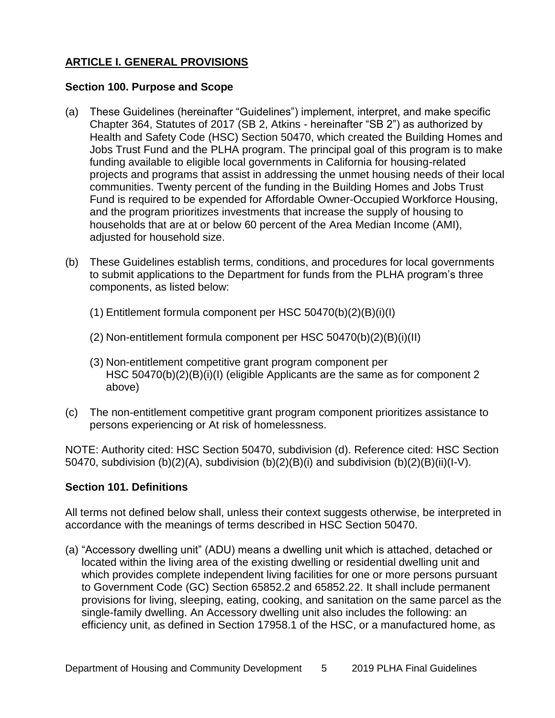# <span id="page-9-0"></span>**ARTICLE I. GENERAL PROVISIONS**

#### <span id="page-9-1"></span>**Section 100. Purpose and Scope**

- (a) These Guidelines (hereinafter "Guidelines") implement, interpret, and make specific Chapter 364, Statutes of 2017 (SB 2, Atkins - hereinafter "SB 2") as authorized by Health and Safety Code (HSC) Section 50470, which created the Building Homes and Jobs Trust Fund and the PLHA program. The principal goal of this program is to make funding available to eligible local governments in California for housing-related projects and programs that assist in addressing the unmet housing needs of their local communities. Twenty percent of the funding in the Building Homes and Jobs Trust Fund is required to be expended for Affordable Owner-Occupied Workforce Housing, and the program prioritizes investments that increase the supply of housing to households that are at or below 60 percent of the Area Median Income (AMI), adjusted for household size.
- (b) These Guidelines establish terms, conditions, and procedures for local governments to submit applications to the Department for funds from the PLHA program's three components, as listed below:
	- (1) Entitlement formula component per HSC 50470(b)(2)(B)(i)(I)
	- (2) Non-entitlement formula component per HSC 50470(b)(2)(B)(i)(II)
	- (3) Non-entitlement competitive grant program component per HSC 50470(b)(2)(B)(i)(I) (eligible Applicants are the same as for component 2 above)
- (c) The non-entitlement competitive grant program component prioritizes assistance to persons experiencing or At risk of homelessness.

NOTE: Authority cited: HSC Section 50470, subdivision (d). Reference cited: HSC Section 50470, subdivision (b)(2)(A), subdivision (b)(2)(B)(i) and subdivision (b)(2)(B)(ii)(I-V).

# <span id="page-9-2"></span>**Section 101. Definitions**

All terms not defined below shall, unless their context suggests otherwise, be interpreted in accordance with the meanings of terms described in HSC Section 50470.

(a) "Accessory dwelling unit" (ADU) means a dwelling unit which is attached, detached or located within the living area of the existing dwelling or residential dwelling unit and which provides complete independent living facilities for one or more persons pursuant to Government Code (GC) Section 65852.2 and 65852.22. It shall include permanent provisions for living, sleeping, eating, cooking, and sanitation on the same parcel as the single-family dwelling. An Accessory dwelling unit also includes the following: an efficiency unit, as defined in Section 17958.1 of the HSC, or a manufactured home, as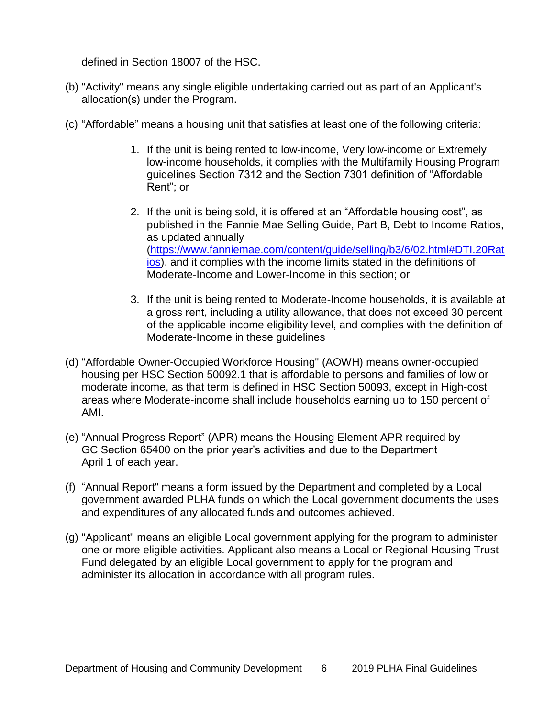defined in Section 18007 of the HSC.

- (b) "Activity" means any single eligible undertaking carried out as part of an Applicant's allocation(s) under the Program.
- (c) "Affordable" means a housing unit that satisfies at least one of the following criteria:
	- 1. If the unit is being rented to low-income, Very low-income or Extremely low-income households, it complies with the Multifamily Housing Program guidelines Section 7312 and the Section 7301 definition of "Affordable Rent"; or
	- 2. If the unit is being sold, it is offered at an "Affordable housing cost", as published in the Fannie Mae Selling Guide, Part B, Debt to Income Ratios, as updated annually [\(https://www.fanniemae.com/content/guide/selling/b3/6/02.html#DTI.20Rat](https://www.fanniemae.com/content/guide/selling/b3/6/02.html#DTI.20Ratios) ios), and it complies with the income limits stated in the definitions of Moderate-Income and Lower-Income in this section; or
	- 3. If the unit is being rented to Moderate-Income households, it is available at a gross rent, including a utility allowance, that does not exceed 30 percent of the applicable income eligibility level, and complies with the definition of Moderate-Income in these guidelines
- (d) "Affordable Owner-Occupied Workforce Housing" (AOWH) means owner-occupied housing per HSC Section 50092.1 that is affordable to persons and families of low or moderate income, as that term is defined in HSC Section 50093, except in High-cost areas where Moderate-income shall include households earning up to 150 percent of AMI.
- (e) "Annual Progress Report" (APR) means the Housing Element APR required by GC Section 65400 on the prior year's activities and due to the Department April 1 of each year.
- (f) "Annual Report" means a form issued by the Department and completed by a Local government awarded PLHA funds on which the Local government documents the uses and expenditures of any allocated funds and outcomes achieved.
- (g) "Applicant" means an eligible Local government applying for the program to administer one or more eligible activities. Applicant also means a Local or Regional Housing Trust Fund delegated by an eligible Local government to apply for the program and administer its allocation in accordance with all program rules.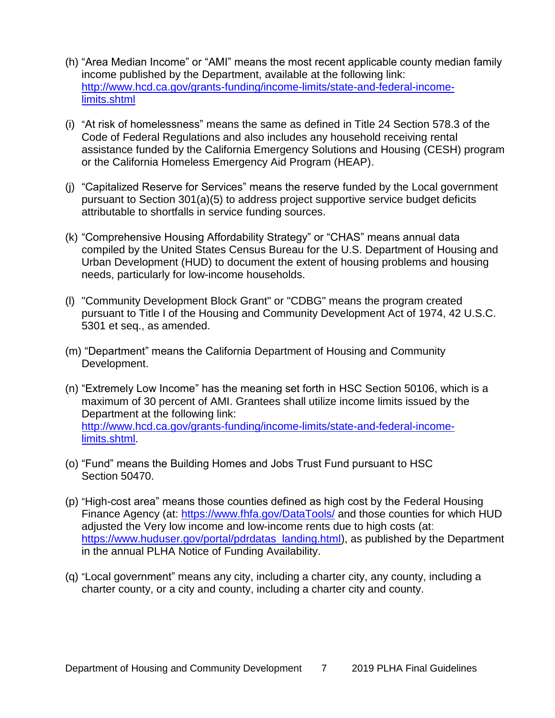- (h) "Area Median Income" or "AMI" means the most recent applicable county median family income published by the Department, available at the following link: [http://www.hcd.ca.gov/grants-funding/income-limits/state-and-federal-income](http://www.hcd.ca.gov/grants-funding/income-limits/state-and-federal-income-limits.shtml)limits.shtml
- (i) "At risk of homelessness" means the same as defined in Title 24 Section 578.3 of the Code of Federal Regulations and also includes any household receiving rental assistance funded by the California Emergency Solutions and Housing (CESH) program or the California Homeless Emergency Aid Program (HEAP).
- (j) "Capitalized Reserve for Services" means the reserve funded by the Local government pursuant to Section 301(a)(5) to address project supportive service budget deficits attributable to shortfalls in service funding sources.
- (k) "Comprehensive Housing Affordability Strategy" or "CHAS" means annual data compiled by the United States Census Bureau for the U.S. Department of Housing and Urban Development (HUD) to document the extent of housing problems and housing needs, particularly for low-income households.
- (l) "Community Development Block Grant" or "CDBG" means the program created pursuant to Title I of the Housing and Community Development Act of 1974, 42 U.S.C. 5301 et seq., as amended.
- (m) "Department" means the California Department of Housing and Community Development.
- (n) "Extremely Low Income" has the meaning set forth in HSC Section 50106, which is a maximum of 30 percent of AMI. Grantees shall utilize income limits issued by the Department at the following link: [http://www.hcd.ca.gov/grants-funding/income-limits/state-and-federal-income](http://www.hcd.ca.gov/grants-funding/income-limits/state-and-federal-income-limits.shtml)limits.shtml.
- (o) "Fund" means the Building Homes and Jobs Trust Fund pursuant to HSC Section 50470.
- (p) "High-cost area" means those counties defined as high cost by the Federal Housing Finance Agency (at: <https://www.fhfa.gov/DataTools/> and those counties for which HUD adjusted the Very low income and low-income rents due to high costs (at: [https://www.huduser.gov/portal/pdrdatas\\_landing.html\)](https://www.huduser.gov/portal/pdrdatas_landing.html), as published by the Department in the annual PLHA Notice of Funding Availability.
- (q) "Local government" means any city, including a charter city, any county, including a charter county, or a city and county, including a charter city and county.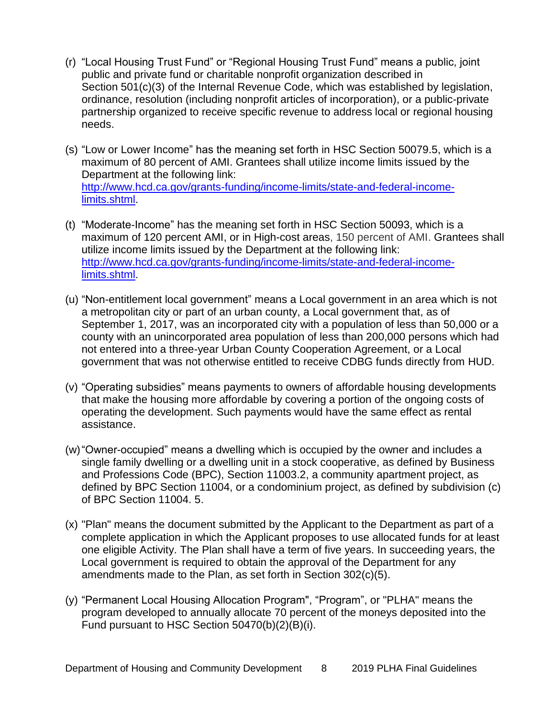- (r) "Local Housing Trust Fund" or "Regional Housing Trust Fund" means a public, joint public and private fund or charitable nonprofit organization described in Section 501(c)(3) of the Internal Revenue Code, which was established by legislation, ordinance, resolution (including nonprofit articles of incorporation), or a public-private partnership organized to receive specific revenue to address local or regional housing needs.
- (s) "Low or Lower Income" has the meaning set forth in HSC Section 50079.5, which is a maximum of 80 percent of AMI. Grantees shall utilize income limits issued by the Department at the following link: [http://www.hcd.ca.gov/grants-funding/income-limits/state-and-federal-income](http://www.hcd.ca.gov/grants-funding/income-limits/state-and-federal-income-limits.shtml)limits.shtml.
- (t) "Moderate-Income" has the meaning set forth in HSC Section 50093, which is a maximum of 120 percent AMI, or in High-cost areas, 150 percent of AMI. Grantees shall utilize income limits issued by the Department at the following link: [http://www.hcd.ca.gov/grants-funding/income-limits/state-and-federal-income](http://www.hcd.ca.gov/grants-funding/income-limits/state-and-federal-income-limits.shtml)limits.shtml.
- (u) "Non-entitlement local government" means a Local government in an area which is not a metropolitan city or part of an urban county, a Local government that, as of September 1, 2017, was an incorporated city with a population of less than 50,000 or a county with an unincorporated area population of less than 200,000 persons which had not entered into a three-year Urban County Cooperation Agreement, or a Local government that was not otherwise entitled to receive CDBG funds directly from HUD.
- (v) "Operating subsidies" means payments to owners of affordable housing developments that make the housing more affordable by covering a portion of the ongoing costs of operating the development. Such payments would have the same effect as rental assistance.
- (w)"Owner-occupied" means a dwelling which is occupied by the owner and includes a single family dwelling or a dwelling unit in a stock cooperative, as defined by Business and Professions Code (BPC), Section 11003.2, a community apartment project, as defined by BPC Section 11004, or a condominium project, as defined by subdivision (c) of BPC Section 11004. 5.
- (x) "Plan" means the document submitted by the Applicant to the Department as part of a complete application in which the Applicant proposes to use allocated funds for at least one eligible Activity. The Plan shall have a term of five years. In succeeding years, the Local government is required to obtain the approval of the Department for any amendments made to the Plan, as set forth in Section 302(c)(5).
- (y) "Permanent Local Housing Allocation Program", "Program", or "PLHA" means the program developed to annually allocate 70 percent of the moneys deposited into the Fund pursuant to HSC Section 50470(b)(2)(B)(i).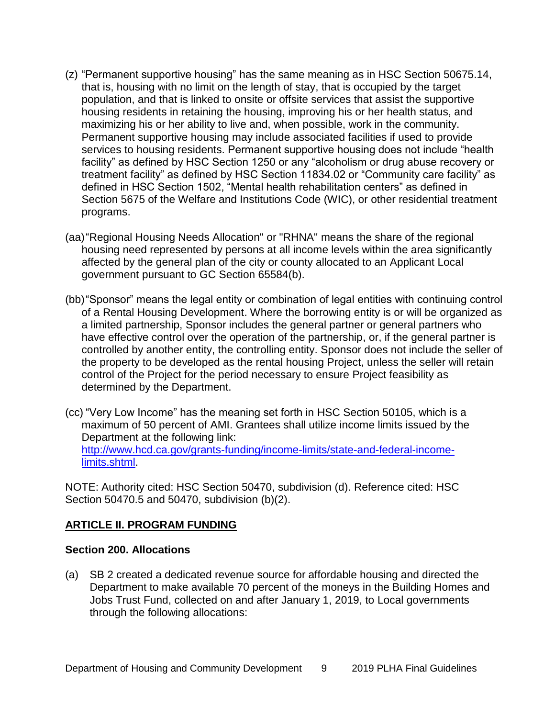- (z) "Permanent supportive housing" has the same meaning as in HSC Section 50675.14, that is, housing with no limit on the length of stay, that is occupied by the target population, and that is linked to onsite or offsite services that assist the supportive housing residents in retaining the housing, improving his or her health status, and maximizing his or her ability to live and, when possible, work in the community. Permanent supportive housing may include associated facilities if used to provide services to housing residents. Permanent supportive housing does not include "health facility" as defined by HSC Section 1250 or any "alcoholism or drug abuse recovery or treatment facility" as defined by HSC Section 11834.02 or "Community care facility" as defined in HSC Section 1502, "Mental health rehabilitation centers" as defined in Section 5675 of the Welfare and Institutions Code (WIC), or other residential treatment programs.
- (aa)"Regional Housing Needs Allocation" or "RHNA" means the share of the regional housing need represented by persons at all income levels within the area significantly affected by the general plan of the city or county allocated to an Applicant Local government pursuant to GC Section 65584(b).
- (bb)"Sponsor" means the legal entity or combination of legal entities with continuing control of a Rental Housing Development. Where the borrowing entity is or will be organized as a limited partnership, Sponsor includes the general partner or general partners who have effective control over the operation of the partnership, or, if the general partner is controlled by another entity, the controlling entity. Sponsor does not include the seller of the property to be developed as the rental housing Project, unless the seller will retain control of the Project for the period necessary to ensure Project feasibility as determined by the Department.
- (cc) "Very Low Income" has the meaning set forth in HSC Section 50105, which is a maximum of 50 percent of AMI. Grantees shall utilize income limits issued by the Department at the following link: [http://www.hcd.ca.gov/grants-funding/income-limits/state-and-federal-income](http://www.hcd.ca.gov/grants-funding/income-limits/state-and-federal-income-limits.shtml)limits.shtml.

NOTE: Authority cited: HSC Section 50470, subdivision (d). Reference cited: HSC Section 50470.5 and 50470, subdivision (b)(2).

#### <span id="page-13-0"></span>**ARTICLE II. PROGRAM FUNDING**

#### <span id="page-13-1"></span>**Section 200. Allocations**

(a) SB 2 created a dedicated revenue source for affordable housing and directed the Department to make available 70 percent of the moneys in the Building Homes and Jobs Trust Fund, collected on and after January 1, 2019, to Local governments through the following allocations: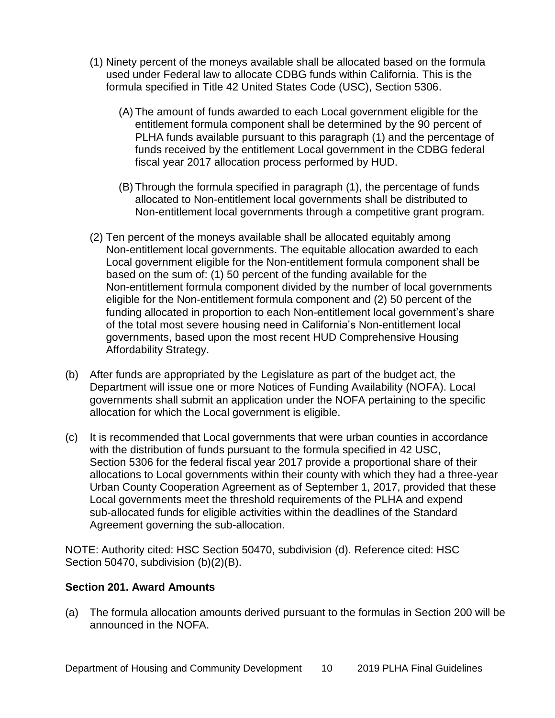- (1) Ninety percent of the moneys available shall be allocated based on the formula used under Federal law to allocate CDBG funds within California. This is the formula specified in Title 42 United States Code (USC), Section 5306.
	- (A) The amount of funds awarded to each Local government eligible for the entitlement formula component shall be determined by the 90 percent of PLHA funds available pursuant to this paragraph (1) and the percentage of funds received by the entitlement Local government in the CDBG federal fiscal year 2017 allocation process performed by HUD.
	- (B) Through the formula specified in paragraph (1), the percentage of funds allocated to Non-entitlement local governments shall be distributed to Non-entitlement local governments through a competitive grant program.
- (2) Ten percent of the moneys available shall be allocated equitably among Non-entitlement local governments. The equitable allocation awarded to each Local government eligible for the Non-entitlement formula component shall be based on the sum of: (1) 50 percent of the funding available for the Non-entitlement formula component divided by the number of local governments eligible for the Non-entitlement formula component and (2) 50 percent of the funding allocated in proportion to each Non-entitlement local government's share of the total most severe housing need in California's Non-entitlement local governments, based upon the most recent HUD Comprehensive Housing Affordability Strategy.
- (b) After funds are appropriated by the Legislature as part of the budget act, the Department will issue one or more Notices of Funding Availability (NOFA). Local governments shall submit an application under the NOFA pertaining to the specific allocation for which the Local government is eligible.
- (c) It is recommended that Local governments that were urban counties in accordance with the distribution of funds pursuant to the formula specified in 42 USC, Section 5306 for the federal fiscal year 2017 provide a proportional share of their allocations to Local governments within their county with which they had a three-year Urban County Cooperation Agreement as of September 1, 2017, provided that these Local governments meet the threshold requirements of the PLHA and expend sub-allocated funds for eligible activities within the deadlines of the Standard Agreement governing the sub-allocation.

NOTE: Authority cited: HSC Section 50470, subdivision (d). Reference cited: HSC Section 50470, subdivision (b)(2)(B).

#### <span id="page-14-0"></span>**Section 201. Award Amounts**

(a) The formula allocation amounts derived pursuant to the formulas in Section 200 will be announced in the NOFA.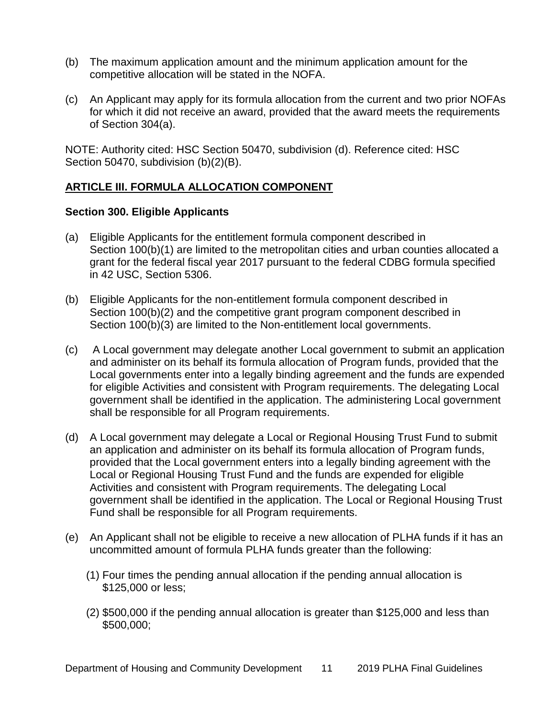- (b) The maximum application amount and the minimum application amount for the competitive allocation will be stated in the NOFA.
- (c) An Applicant may apply for its formula allocation from the current and two prior NOFAs for which it did not receive an award, provided that the award meets the requirements of Section 304(a).

NOTE: Authority cited: HSC Section 50470, subdivision (d). Reference cited: HSC Section 50470, subdivision (b)(2)(B).

# <span id="page-15-0"></span>**ARTICLE III. FORMULA ALLOCATION COMPONENT**

# <span id="page-15-1"></span>**Section 300. Eligible Applicants**

- (a) Eligible Applicants for the entitlement formula component described in Section 100(b)(1) are limited to the metropolitan cities and urban counties allocated a grant for the federal fiscal year 2017 pursuant to the federal CDBG formula specified in 42 USC, Section 5306.
- (b) Eligible Applicants for the non-entitlement formula component described in Section 100(b)(2) and the competitive grant program component described in Section 100(b)(3) are limited to the Non-entitlement local governments.
- (c) A Local government may delegate another Local government to submit an application and administer on its behalf its formula allocation of Program funds, provided that the Local governments enter into a legally binding agreement and the funds are expended for eligible Activities and consistent with Program requirements. The delegating Local government shall be identified in the application. The administering Local government shall be responsible for all Program requirements.
- (d) A Local government may delegate a Local or Regional Housing Trust Fund to submit an application and administer on its behalf its formula allocation of Program funds, provided that the Local government enters into a legally binding agreement with the Local or Regional Housing Trust Fund and the funds are expended for eligible Activities and consistent with Program requirements. The delegating Local government shall be identified in the application. The Local or Regional Housing Trust Fund shall be responsible for all Program requirements.
- (e) An Applicant shall not be eligible to receive a new allocation of PLHA funds if it has an uncommitted amount of formula PLHA funds greater than the following:
	- (1) Four times the pending annual allocation if the pending annual allocation is \$125,000 or less;
	- (2) \$500,000 if the pending annual allocation is greater than \$125,000 and less than \$500,000;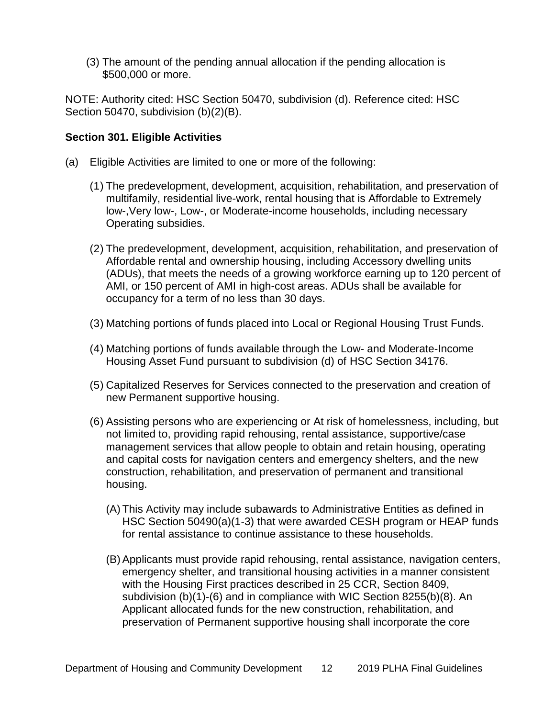(3) The amount of the pending annual allocation if the pending allocation is \$500,000 or more.

NOTE: Authority cited: HSC Section 50470, subdivision (d). Reference cited: HSC Section 50470, subdivision (b)(2)(B).

#### <span id="page-16-0"></span>**Section 301. Eligible Activities**

- (a) Eligible Activities are limited to one or more of the following:
	- (1) The predevelopment, development, acquisition, rehabilitation, and preservation of multifamily, residential live-work, rental housing that is Affordable to Extremely low-,Very low-, Low-, or Moderate-income households, including necessary Operating subsidies.
	- (2) The predevelopment, development, acquisition, rehabilitation, and preservation of Affordable rental and ownership housing, including Accessory dwelling units (ADUs), that meets the needs of a growing workforce earning up to 120 percent of AMI, or 150 percent of AMI in high-cost areas. ADUs shall be available for occupancy for a term of no less than 30 days.
	- (3) Matching portions of funds placed into Local or Regional Housing Trust Funds.
	- (4) Matching portions of funds available through the Low- and Moderate-Income Housing Asset Fund pursuant to subdivision (d) of HSC Section 34176.
	- (5) Capitalized Reserves for Services connected to the preservation and creation of new Permanent supportive housing.
	- (6) Assisting persons who are experiencing or At risk of homelessness, including, but not limited to, providing rapid rehousing, rental assistance, supportive/case management services that allow people to obtain and retain housing, operating and capital costs for navigation centers and emergency shelters, and the new construction, rehabilitation, and preservation of permanent and transitional housing.
		- (A) This Activity may include subawards to Administrative Entities as defined in HSC Section 50490(a)(1-3) that were awarded CESH program or HEAP funds for rental assistance to continue assistance to these households.
		- (B) Applicants must provide rapid rehousing, rental assistance, navigation centers, emergency shelter, and transitional housing activities in a manner consistent with the Housing First practices described in 25 CCR, Section 8409, subdivision (b)(1)-(6) and in compliance with WIC Section 8255(b)(8). An Applicant allocated funds for the new construction, rehabilitation, and preservation of Permanent supportive housing shall incorporate the core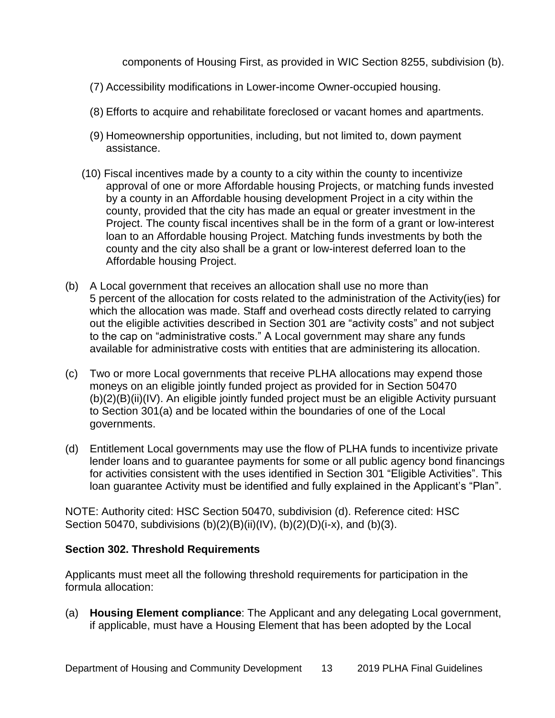components of Housing First, as provided in WIC Section 8255, subdivision (b).

- (7) Accessibility modifications in Lower-income Owner-occupied housing.
- (8) Efforts to acquire and rehabilitate foreclosed or vacant homes and apartments.
- (9) Homeownership opportunities, including, but not limited to, down payment assistance.
- (10) Fiscal incentives made by a county to a city within the county to incentivize approval of one or more Affordable housing Projects, or matching funds invested by a county in an Affordable housing development Project in a city within the county, provided that the city has made an equal or greater investment in the Project. The county fiscal incentives shall be in the form of a grant or low-interest loan to an Affordable housing Project. Matching funds investments by both the county and the city also shall be a grant or low-interest deferred loan to the Affordable housing Project.
- (b) A Local government that receives an allocation shall use no more than 5 percent of the allocation for costs related to the administration of the Activity(ies) for which the allocation was made. Staff and overhead costs directly related to carrying out the eligible activities described in Section 301 are "activity costs" and not subject to the cap on "administrative costs." A Local government may share any funds available for administrative costs with entities that are administering its allocation.
- (c) Two or more Local governments that receive PLHA allocations may expend those moneys on an eligible jointly funded project as provided for in Section 50470 (b)(2)(B)(ii)(IV). An eligible jointly funded project must be an eligible Activity pursuant to Section 301(a) and be located within the boundaries of one of the Local governments.
- (d) Entitlement Local governments may use the flow of PLHA funds to incentivize private lender loans and to guarantee payments for some or all public agency bond financings for activities consistent with the uses identified in Section 301 "Eligible Activities". This loan guarantee Activity must be identified and fully explained in the Applicant's "Plan".

NOTE: Authority cited: HSC Section 50470, subdivision (d). Reference cited: HSC Section 50470, subdivisions  $(b)(2)(B)(ii)(IV)$ ,  $(b)(2)(D)(i-x)$ , and  $(b)(3)$ .

# <span id="page-17-0"></span>**Section 302. Threshold Requirements**

Applicants must meet all the following threshold requirements for participation in the formula allocation:

(a) **Housing Element compliance**: The Applicant and any delegating Local government, if applicable, must have a Housing Element that has been adopted by the Local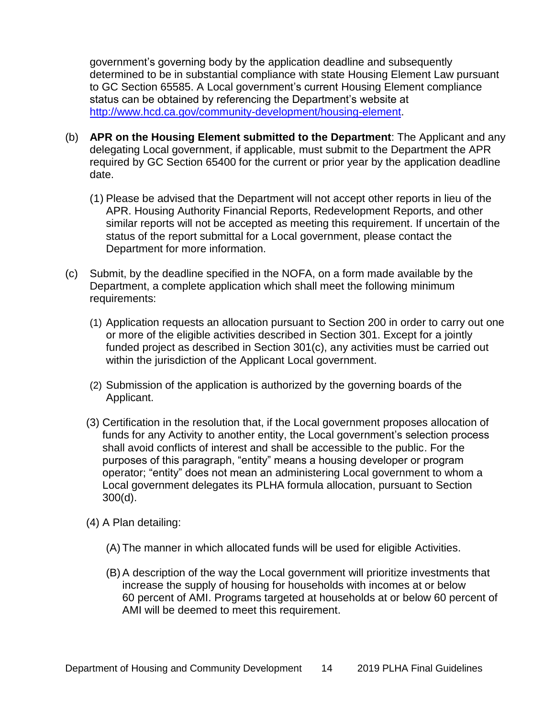government's governing body by the application deadline and subsequently determined to be in substantial compliance with state Housing Element Law pursuant to GC Section 65585. A Local government's current Housing Element compliance status can be obtained by referencing the Department's website at [http://www.hcd.ca.gov/community-development/housing-element.](http://www.hcd.ca.gov/)

- (b) **APR on the Housing Element submitted to the Department**: The Applicant and any delegating Local government, if applicable, must submit to the Department the APR required by GC Section 65400 for the current or prior year by the application deadline date.
	- (1) Please be advised that the Department will not accept other reports in lieu of the APR. Housing Authority Financial Reports, Redevelopment Reports, and other similar reports will not be accepted as meeting this requirement. If uncertain of the status of the report submittal for a Local government, please contact the Department for more information.
- (c) Submit, by the deadline specified in the NOFA, on a form made available by the Department, a complete application which shall meet the following minimum requirements:
	- (1) Application requests an allocation pursuant to Section 200 in order to carry out one or more of the eligible activities described in Section 301. Except for a jointly funded project as described in Section 301(c), any activities must be carried out within the jurisdiction of the Applicant Local government.
	- (2) Submission of the application is authorized by the governing boards of the Applicant.
	- (3) Certification in the resolution that, if the Local government proposes allocation of funds for any Activity to another entity, the Local government's selection process shall avoid conflicts of interest and shall be accessible to the public. For the purposes of this paragraph, "entity" means a housing developer or program operator; "entity" does not mean an administering Local government to whom a Local government delegates its PLHA formula allocation, pursuant to Section 300(d).
	- (4) A Plan detailing:
		- (A) The manner in which allocated funds will be used for eligible Activities.
		- (B) A description of the way the Local government will prioritize investments that increase the supply of housing for households with incomes at or below 60 percent of AMI. Programs targeted at households at or below 60 percent of AMI will be deemed to meet this requirement.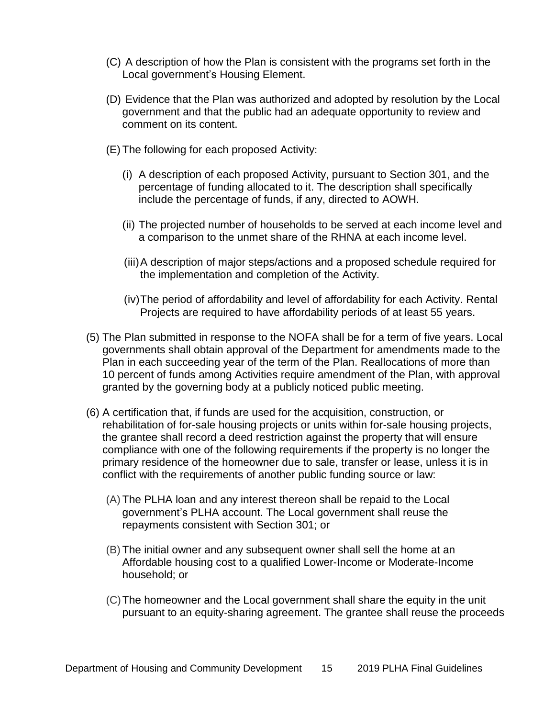- (C) A description of how the Plan is consistent with the programs set forth in the Local government's Housing Element.
- (D) Evidence that the Plan was authorized and adopted by resolution by the Local government and that the public had an adequate opportunity to review and comment on its content.
- (E) The following for each proposed Activity:
	- (i) A description of each proposed Activity, pursuant to Section 301, and the percentage of funding allocated to it. The description shall specifically include the percentage of funds, if any, directed to AOWH.
	- (ii) The projected number of households to be served at each income level and a comparison to the unmet share of the RHNA at each income level.
	- (iii)A description of major steps/actions and a proposed schedule required for the implementation and completion of the Activity.
	- (iv)The period of affordability and level of affordability for each Activity. Rental Projects are required to have affordability periods of at least 55 years.
- (5) The Plan submitted in response to the NOFA shall be for a term of five years. Local governments shall obtain approval of the Department for amendments made to the Plan in each succeeding year of the term of the Plan. Reallocations of more than 10 percent of funds among Activities require amendment of the Plan, with approval granted by the governing body at a publicly noticed public meeting.
- (6) A certification that, if funds are used for the acquisition, construction, or rehabilitation of for-sale housing projects or units within for-sale housing projects, the grantee shall record a deed restriction against the property that will ensure compliance with one of the following requirements if the property is no longer the primary residence of the homeowner due to sale, transfer or lease, unless it is in conflict with the requirements of another public funding source or law:
	- (A) The PLHA loan and any interest thereon shall be repaid to the Local government's PLHA account. The Local government shall reuse the repayments consistent with Section 301; or
	- (B) The initial owner and any subsequent owner shall sell the home at an Affordable housing cost to a qualified Lower-Income or Moderate-Income household; or
	- (C)The homeowner and the Local government shall share the equity in the unit pursuant to an equity-sharing agreement. The grantee shall reuse the proceeds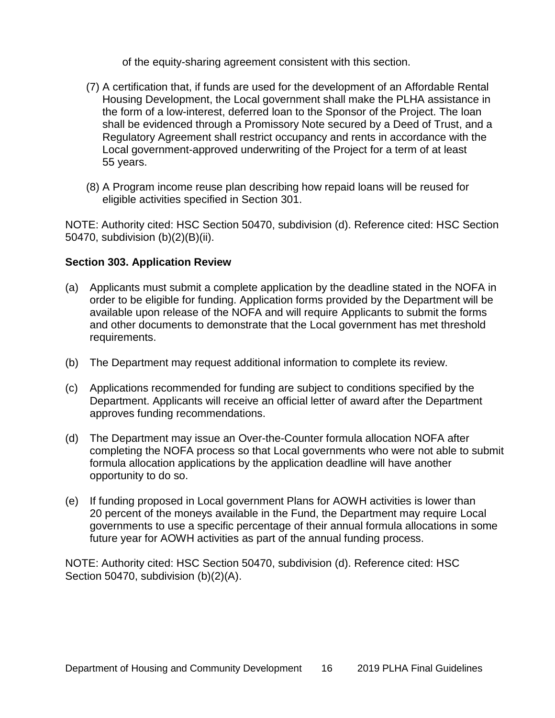of the equity-sharing agreement consistent with this section.

- (7) A certification that, if funds are used for the development of an Affordable Rental Housing Development, the Local government shall make the PLHA assistance in the form of a low-interest, deferred loan to the Sponsor of the Project. The loan shall be evidenced through a Promissory Note secured by a Deed of Trust, and a Regulatory Agreement shall restrict occupancy and rents in accordance with the Local government-approved underwriting of the Project for a term of at least 55 years.
- (8) A Program income reuse plan describing how repaid loans will be reused for eligible activities specified in Section 301.

NOTE: Authority cited: HSC Section 50470, subdivision (d). Reference cited: HSC Section 50470, subdivision (b)(2)(B)(ii).

# <span id="page-20-0"></span>**Section 303. Application Review**

- (a) Applicants must submit a complete application by the deadline stated in the NOFA in order to be eligible for funding. Application forms provided by the Department will be available upon release of the NOFA and will require Applicants to submit the forms and other documents to demonstrate that the Local government has met threshold requirements.
- (b) The Department may request additional information to complete its review.
- (c) Applications recommended for funding are subject to conditions specified by the Department. Applicants will receive an official letter of award after the Department approves funding recommendations.
- (d) The Department may issue an Over-the-Counter formula allocation NOFA after completing the NOFA process so that Local governments who were not able to submit formula allocation applications by the application deadline will have another opportunity to do so.
- (e) If funding proposed in Local government Plans for AOWH activities is lower than 20 percent of the moneys available in the Fund, the Department may require Local governments to use a specific percentage of their annual formula allocations in some future year for AOWH activities as part of the annual funding process.

NOTE: Authority cited: HSC Section 50470, subdivision (d). Reference cited: HSC Section 50470, subdivision (b)(2)(A).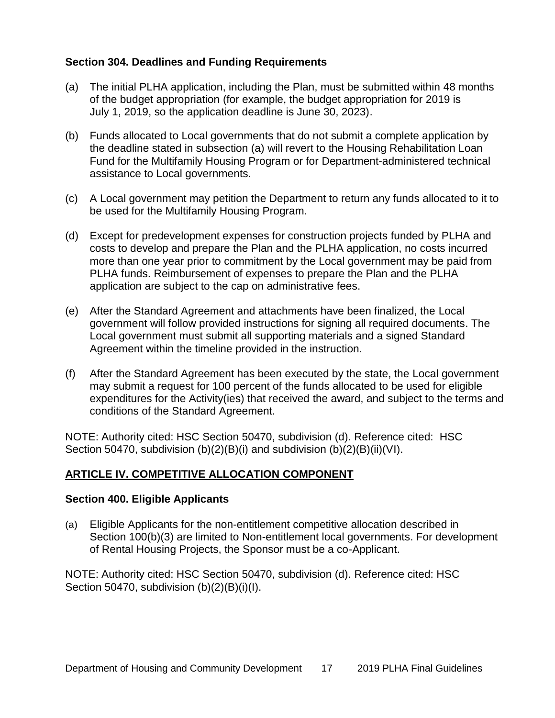# <span id="page-21-0"></span>**Section 304. Deadlines and Funding Requirements**

- (a) The initial PLHA application, including the Plan, must be submitted within 48 months of the budget appropriation (for example, the budget appropriation for 2019 is July 1, 2019, so the application deadline is June 30, 2023).
- (b) Funds allocated to Local governments that do not submit a complete application by the deadline stated in subsection (a) will revert to the Housing Rehabilitation Loan Fund for the Multifamily Housing Program or for Department-administered technical assistance to Local governments.
- (c) A Local government may petition the Department to return any funds allocated to it to be used for the Multifamily Housing Program.
- (d) Except for predevelopment expenses for construction projects funded by PLHA and costs to develop and prepare the Plan and the PLHA application, no costs incurred more than one year prior to commitment by the Local government may be paid from PLHA funds. Reimbursement of expenses to prepare the Plan and the PLHA application are subject to the cap on administrative fees.
- (e) After the Standard Agreement and attachments have been finalized, the Local government will follow provided instructions for signing all required documents. The Local government must submit all supporting materials and a signed Standard Agreement within the timeline provided in the instruction.
- (f) After the Standard Agreement has been executed by the state, the Local government may submit a request for 100 percent of the funds allocated to be used for eligible expenditures for the Activity(ies) that received the award, and subject to the terms and conditions of the Standard Agreement.

NOTE: Authority cited: HSC Section 50470, subdivision (d). Reference cited: HSC Section 50470, subdivision (b)(2)(B)(i) and subdivision (b)(2)(B)(ii)(VI).

# <span id="page-21-1"></span>**ARTICLE IV. COMPETITIVE ALLOCATION COMPONENT**

#### <span id="page-21-2"></span>**Section 400. Eligible Applicants**

(a) Eligible Applicants for the non-entitlement competitive allocation described in Section 100(b)(3) are limited to Non-entitlement local governments. For development of Rental Housing Projects, the Sponsor must be a co-Applicant.

NOTE: Authority cited: HSC Section 50470, subdivision (d). Reference cited: HSC Section 50470, subdivision (b)(2)(B)(i)(I).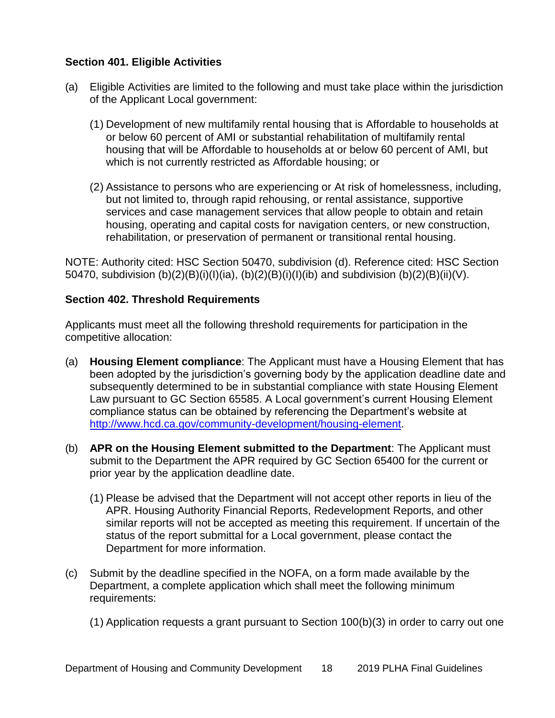# <span id="page-22-0"></span>**Section 401. Eligible Activities**

- (a) Eligible Activities are limited to the following and must take place within the jurisdiction of the Applicant Local government:
	- (1) Development of new multifamily rental housing that is Affordable to households at or below 60 percent of AMI or substantial rehabilitation of multifamily rental housing that will be Affordable to households at or below 60 percent of AMI, but which is not currently restricted as Affordable housing; or
	- (2) Assistance to persons who are experiencing or At risk of homelessness, including, but not limited to, through rapid rehousing, or rental assistance, supportive services and case management services that allow people to obtain and retain housing, operating and capital costs for navigation centers, or new construction, rehabilitation, or preservation of permanent or transitional rental housing.

NOTE: Authority cited: HSC Section 50470, subdivision (d). Reference cited: HSC Section 50470, subdivision (b)(2)(B)(i)(I)(ia), (b)(2)(B)(i)(I)(ib) and subdivision (b)(2)(B)(ii)(V).

#### <span id="page-22-1"></span>**Section 402. Threshold Requirements**

Applicants must meet all the following threshold requirements for participation in the competitive allocation:

- (a) **Housing Element compliance**: The Applicant must have a Housing Element that has been adopted by the jurisdiction's governing body by the application deadline date and subsequently determined to be in substantial compliance with state Housing Element Law pursuant to GC Section 65585. A Local government's current Housing Element compliance status can be obtained by referencing the Department's website at [http://www.hcd.ca.gov/community-development/housing-element.](http://www.hcd.ca.gov/)
- (b) **APR on the Housing Element submitted to the Department**: The Applicant must submit to the Department the APR required by GC Section 65400 for the current or prior year by the application deadline date.
	- (1) Please be advised that the Department will not accept other reports in lieu of the APR. Housing Authority Financial Reports, Redevelopment Reports, and other similar reports will not be accepted as meeting this requirement. If uncertain of the status of the report submittal for a Local government, please contact the Department for more information.
- (c) Submit by the deadline specified in the NOFA, on a form made available by the Department, a complete application which shall meet the following minimum requirements:
	- (1) Application requests a grant pursuant to Section 100(b)(3) in order to carry out one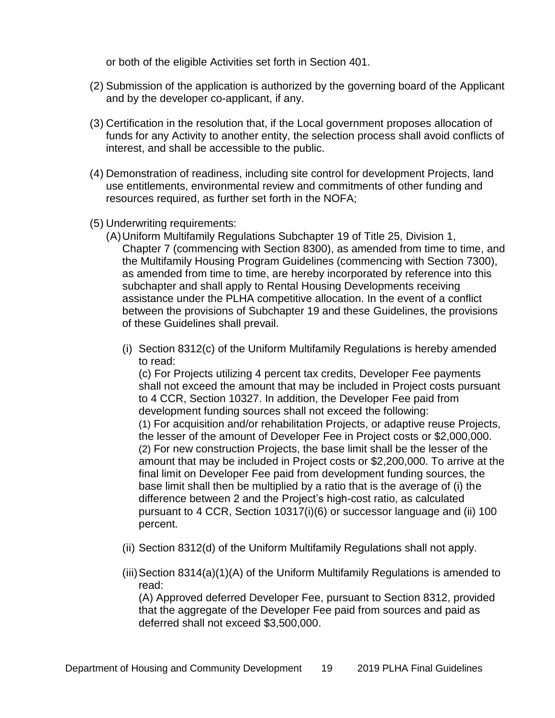or both of the eligible Activities set forth in Section 401.

- (2) Submission of the application is authorized by the governing board of the Applicant and by the developer co-applicant, if any.
- (3) Certification in the resolution that, if the Local government proposes allocation of funds for any Activity to another entity, the selection process shall avoid conflicts of interest, and shall be accessible to the public.
- (4) Demonstration of readiness, including site control for development Projects, land use entitlements, environmental review and commitments of other funding and resources required, as further set forth in the NOFA;
- (5) Underwriting requirements:
	- (A)Uniform Multifamily Regulations Subchapter 19 of Title 25, Division 1, Chapter 7 (commencing with Section 8300), as amended from time to time, and the Multifamily Housing Program Guidelines (commencing with Section 7300), as amended from time to time, are hereby incorporated by reference into this subchapter and shall apply to Rental Housing Developments receiving assistance under the PLHA competitive allocation. In the event of a conflict between the provisions of Subchapter 19 and these Guidelines, the provisions of these Guidelines shall prevail.
		- (i) Section 8312(c) of the Uniform Multifamily Regulations is hereby amended to read:

(c) For Projects utilizing 4 percent tax credits, Developer Fee payments shall not exceed the amount that may be included in Project costs pursuant to 4 CCR, Section 10327. In addition, the Developer Fee paid from development funding sources shall not exceed the following:

(1) For acquisition and/or rehabilitation Projects, or adaptive reuse Projects, the lesser of the amount of Developer Fee in Project costs or \$2,000,000. (2) For new construction Projects, the base limit shall be the lesser of the amount that may be included in Project costs or \$2,200,000. To arrive at the final limit on Developer Fee paid from development funding sources, the base limit shall then be multiplied by a ratio that is the average of (i) the difference between 2 and the Project's high-cost ratio, as calculated pursuant to 4 CCR, Section 10317(i)(6) or successor language and (ii) 100 percent.

- (ii) Section 8312(d) of the Uniform Multifamily Regulations shall not apply.
- (iii) Section 8314(a)(1)(A) of the Uniform Multifamily Regulations is amended to read:

(A) Approved deferred Developer Fee, pursuant to Section 8312, provided that the aggregate of the Developer Fee paid from sources and paid as deferred shall not exceed \$3,500,000.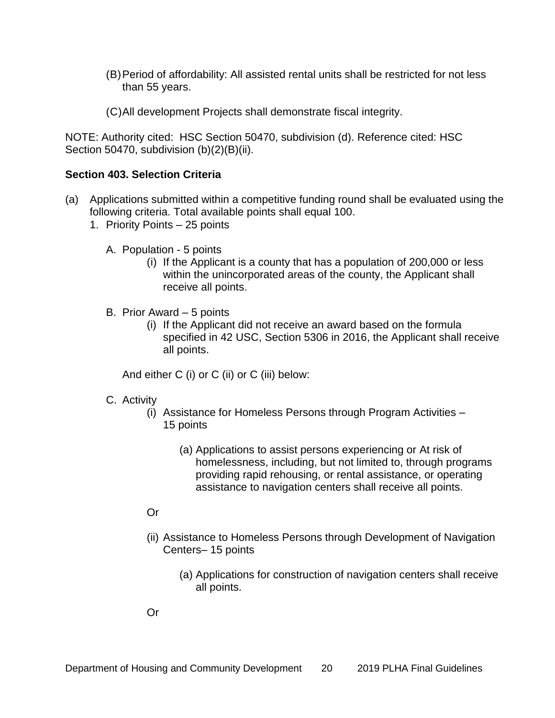- (B)Period of affordability: All assisted rental units shall be restricted for not less than 55 years.
- (C)All development Projects shall demonstrate fiscal integrity.

NOTE: Authority cited: HSC Section 50470, subdivision (d). Reference cited: HSC Section 50470, subdivision (b)(2)(B)(ii).

#### <span id="page-24-0"></span>**Section 403. Selection Criteria**

- (a) Applications submitted within a competitive funding round shall be evaluated using the following criteria. Total available points shall equal 100.
	- 1. Priority Points 25 points
		- A. Population 5 points
			- (i) If the Applicant is a county that has a population of 200,000 or less within the unincorporated areas of the county, the Applicant shall receive all points.
		- B. Prior Award 5 points
			- (i) If the Applicant did not receive an award based on the formula specified in 42 USC, Section 5306 in 2016, the Applicant shall receive all points.

And either C (i) or C (ii) or C (iii) below:

#### C. Activity

- (i) Assistance for Homeless Persons through Program Activities 15 points
	- (a) Applications to assist persons experiencing or At risk of homelessness, including, but not limited to, through programs providing rapid rehousing, or rental assistance, or operating assistance to navigation centers shall receive all points.

#### Or

- (ii) Assistance to Homeless Persons through Development of Navigation Centers– 15 points
	- (a) Applications for construction of navigation centers shall receive all points.

Or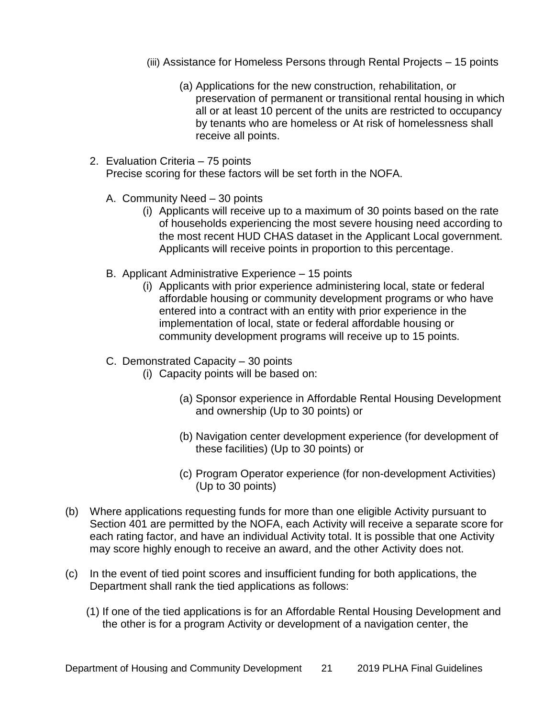- (iii) Assistance for Homeless Persons through Rental Projects 15 points
	- (a) Applications for the new construction, rehabilitation, or preservation of permanent or transitional rental housing in which all or at least 10 percent of the units are restricted to occupancy by tenants who are homeless or At risk of homelessness shall receive all points.
- 2. Evaluation Criteria 75 points Precise scoring for these factors will be set forth in the NOFA.
	- A. Community Need 30 points
		- (i) Applicants will receive up to a maximum of 30 points based on the rate of households experiencing the most severe housing need according to the most recent HUD CHAS dataset in the Applicant Local government. Applicants will receive points in proportion to this percentage.
	- B. Applicant Administrative Experience 15 points
		- (i) Applicants with prior experience administering local, state or federal affordable housing or community development programs or who have entered into a contract with an entity with prior experience in the implementation of local, state or federal affordable housing or community development programs will receive up to 15 points.
	- C. Demonstrated Capacity 30 points
		- (i) Capacity points will be based on:
			- (a) Sponsor experience in Affordable Rental Housing Development and ownership (Up to 30 points) or
			- (b) Navigation center development experience (for development of these facilities) (Up to 30 points) or
			- (c) Program Operator experience (for non-development Activities) (Up to 30 points)
- (b) Where applications requesting funds for more than one eligible Activity pursuant to Section 401 are permitted by the NOFA, each Activity will receive a separate score for each rating factor, and have an individual Activity total. It is possible that one Activity may score highly enough to receive an award, and the other Activity does not.
- (c) In the event of tied point scores and insufficient funding for both applications, the Department shall rank the tied applications as follows:
	- (1) If one of the tied applications is for an Affordable Rental Housing Development and the other is for a program Activity or development of a navigation center, the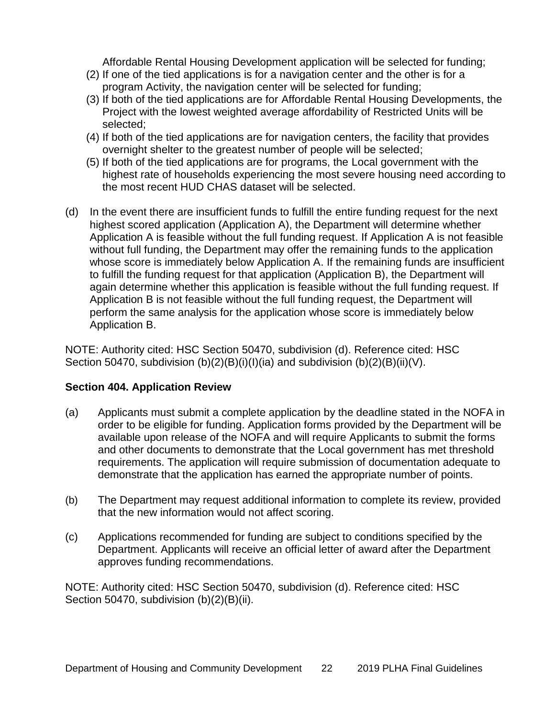Affordable Rental Housing Development application will be selected for funding;

- (2) If one of the tied applications is for a navigation center and the other is for a program Activity, the navigation center will be selected for funding;
- (3) If both of the tied applications are for Affordable Rental Housing Developments, the Project with the lowest weighted average affordability of Restricted Units will be selected;
- (4) If both of the tied applications are for navigation centers, the facility that provides overnight shelter to the greatest number of people will be selected;
- (5) If both of the tied applications are for programs, the Local government with the highest rate of households experiencing the most severe housing need according to the most recent HUD CHAS dataset will be selected.
- (d) In the event there are insufficient funds to fulfill the entire funding request for the next highest scored application (Application A), the Department will determine whether Application A is feasible without the full funding request. If Application A is not feasible without full funding, the Department may offer the remaining funds to the application whose score is immediately below Application A. If the remaining funds are insufficient to fulfill the funding request for that application (Application B), the Department will again determine whether this application is feasible without the full funding request. If Application B is not feasible without the full funding request, the Department will perform the same analysis for the application whose score is immediately below Application B.

NOTE: Authority cited: HSC Section 50470, subdivision (d). Reference cited: HSC Section 50470, subdivision  $(b)(2)(B)(i)(i)(ia)$  and subdivision  $(b)(2)(B)(ii)(V)$ .

# <span id="page-26-0"></span>**Section 404. Application Review**

- (a) Applicants must submit a complete application by the deadline stated in the NOFA in order to be eligible for funding. Application forms provided by the Department will be available upon release of the NOFA and will require Applicants to submit the forms and other documents to demonstrate that the Local government has met threshold requirements. The application will require submission of documentation adequate to demonstrate that the application has earned the appropriate number of points.
- (b) The Department may request additional information to complete its review, provided that the new information would not affect scoring.
- (c) Applications recommended for funding are subject to conditions specified by the Department. Applicants will receive an official letter of award after the Department approves funding recommendations.

NOTE: Authority cited: HSC Section 50470, subdivision (d). Reference cited: HSC Section 50470, subdivision (b)(2)(B)(ii).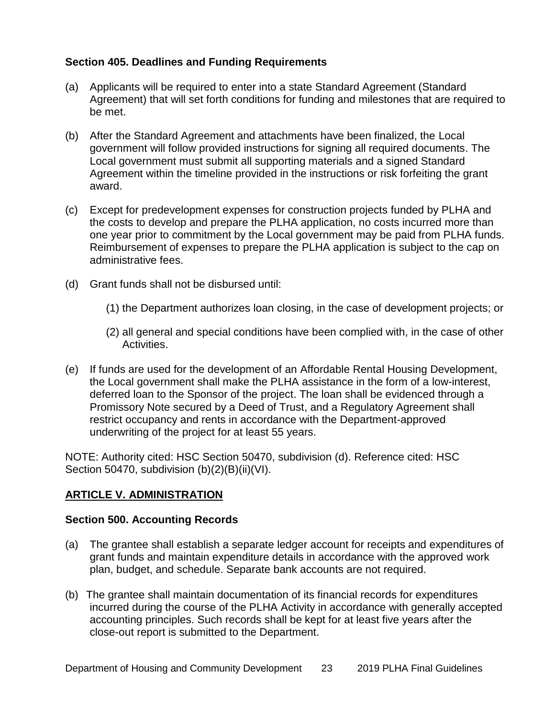# <span id="page-27-0"></span>**Section 405. Deadlines and Funding Requirements**

- (a) Applicants will be required to enter into a state Standard Agreement (Standard Agreement) that will set forth conditions for funding and milestones that are required to be met.
- (b) After the Standard Agreement and attachments have been finalized, the Local government will follow provided instructions for signing all required documents. The Local government must submit all supporting materials and a signed Standard Agreement within the timeline provided in the instructions or risk forfeiting the grant award.
- (c) Except for predevelopment expenses for construction projects funded by PLHA and the costs to develop and prepare the PLHA application, no costs incurred more than one year prior to commitment by the Local government may be paid from PLHA funds. Reimbursement of expenses to prepare the PLHA application is subject to the cap on administrative fees.
- (d) Grant funds shall not be disbursed until:
	- (1) the Department authorizes loan closing, in the case of development projects; or
	- (2) all general and special conditions have been complied with, in the case of other Activities.
- (e) If funds are used for the development of an Affordable Rental Housing Development, the Local government shall make the PLHA assistance in the form of a low-interest, deferred loan to the Sponsor of the project. The loan shall be evidenced through a Promissory Note secured by a Deed of Trust, and a Regulatory Agreement shall restrict occupancy and rents in accordance with the Department-approved underwriting of the project for at least 55 years.

NOTE: Authority cited: HSC Section 50470, subdivision (d). Reference cited: HSC Section 50470, subdivision (b)(2)(B)(ii)(VI).

# <span id="page-27-1"></span>**ARTICLE V. ADMINISTRATION**

#### <span id="page-27-2"></span>**Section 500. Accounting Records**

- (a) The grantee shall establish a separate ledger account for receipts and expenditures of grant funds and maintain expenditure details in accordance with the approved work plan, budget, and schedule. Separate bank accounts are not required.
- (b) The grantee shall maintain documentation of its financial records for expenditures incurred during the course of the PLHA Activity in accordance with generally accepted accounting principles. Such records shall be kept for at least five years after the close-out report is submitted to the Department.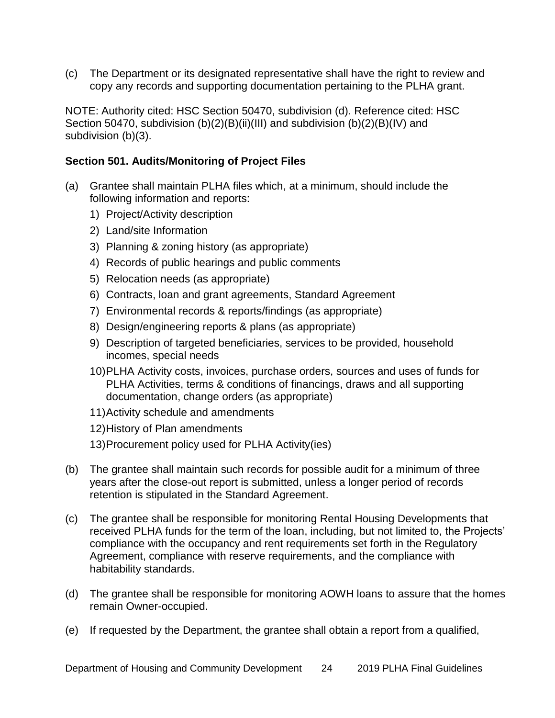(c) The Department or its designated representative shall have the right to review and copy any records and supporting documentation pertaining to the PLHA grant.

NOTE: Authority cited: HSC Section 50470, subdivision (d). Reference cited: HSC Section 50470, subdivision (b)(2)(B)(ii)(III) and subdivision (b)(2)(B)(IV) and subdivision (b)(3).

#### <span id="page-28-0"></span>**Section 501. Audits/Monitoring of Project Files**

- (a) Grantee shall maintain PLHA files which, at a minimum, should include the following information and reports:
	- 1) Project/Activity description
	- 2) Land/site Information
	- 3) Planning & zoning history (as appropriate)
	- 4) Records of public hearings and public comments
	- 5) Relocation needs (as appropriate)
	- 6) Contracts, loan and grant agreements, Standard Agreement
	- 7) Environmental records & reports/findings (as appropriate)
	- 8) Design/engineering reports & plans (as appropriate)
	- 9) Description of targeted beneficiaries, services to be provided, household incomes, special needs
	- 10)PLHA Activity costs, invoices, purchase orders, sources and uses of funds for PLHA Activities, terms & conditions of financings, draws and all supporting documentation, change orders (as appropriate)
	- 11)Activity schedule and amendments
	- 12)History of Plan amendments
	- 13)Procurement policy used for PLHA Activity(ies)
- (b) The grantee shall maintain such records for possible audit for a minimum of three years after the close-out report is submitted, unless a longer period of records retention is stipulated in the Standard Agreement.
- (c) The grantee shall be responsible for monitoring Rental Housing Developments that received PLHA funds for the term of the loan, including, but not limited to, the Projects' compliance with the occupancy and rent requirements set forth in the Regulatory Agreement, compliance with reserve requirements, and the compliance with habitability standards.
- (d) The grantee shall be responsible for monitoring AOWH loans to assure that the homes remain Owner-occupied.
- (e) If requested by the Department, the grantee shall obtain a report from a qualified,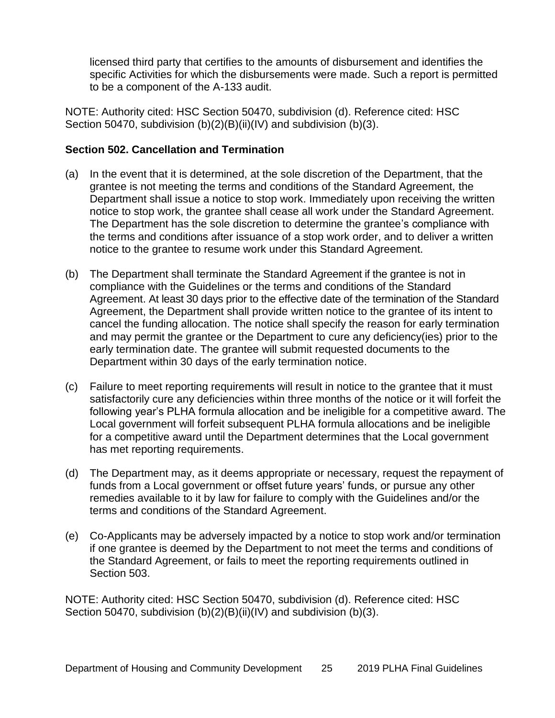licensed third party that certifies to the amounts of disbursement and identifies the specific Activities for which the disbursements were made. Such a report is permitted to be a component of the A-133 audit.

NOTE: Authority cited: HSC Section 50470, subdivision (d). Reference cited: HSC Section 50470, subdivision (b)(2)(B)(ii)(IV) and subdivision (b)(3).

# <span id="page-29-0"></span>**Section 502. Cancellation and Termination**

- (a) In the event that it is determined, at the sole discretion of the Department, that the grantee is not meeting the terms and conditions of the Standard Agreement, the Department shall issue a notice to stop work. Immediately upon receiving the written notice to stop work, the grantee shall cease all work under the Standard Agreement. The Department has the sole discretion to determine the grantee's compliance with the terms and conditions after issuance of a stop work order, and to deliver a written notice to the grantee to resume work under this Standard Agreement.
- (b) The Department shall terminate the Standard Agreement if the grantee is not in compliance with the Guidelines or the terms and conditions of the Standard Agreement. At least 30 days prior to the effective date of the termination of the Standard Agreement, the Department shall provide written notice to the grantee of its intent to cancel the funding allocation. The notice shall specify the reason for early termination and may permit the grantee or the Department to cure any deficiency(ies) prior to the early termination date. The grantee will submit requested documents to the Department within 30 days of the early termination notice.
- (c) Failure to meet reporting requirements will result in notice to the grantee that it must satisfactorily cure any deficiencies within three months of the notice or it will forfeit the following year's PLHA formula allocation and be ineligible for a competitive award. The Local government will forfeit subsequent PLHA formula allocations and be ineligible for a competitive award until the Department determines that the Local government has met reporting requirements.
- (d) The Department may, as it deems appropriate or necessary, request the repayment of funds from a Local government or offset future years' funds, or pursue any other remedies available to it by law for failure to comply with the Guidelines and/or the terms and conditions of the Standard Agreement.
- (e) Co-Applicants may be adversely impacted by a notice to stop work and/or termination if one grantee is deemed by the Department to not meet the terms and conditions of the Standard Agreement, or fails to meet the reporting requirements outlined in Section 503.

NOTE: Authority cited: HSC Section 50470, subdivision (d). Reference cited: HSC Section 50470, subdivision (b)(2)(B)(ii)(IV) and subdivision (b)(3).